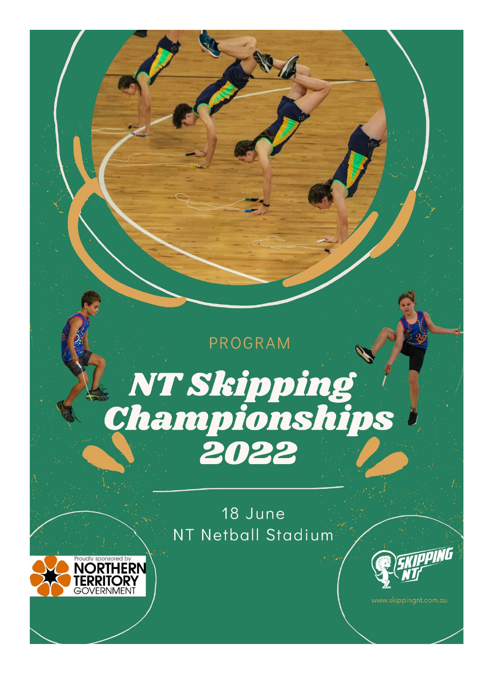# **PROGRAM** NT Skipping<br>Championships 2022

18 June NT Netball Stadium



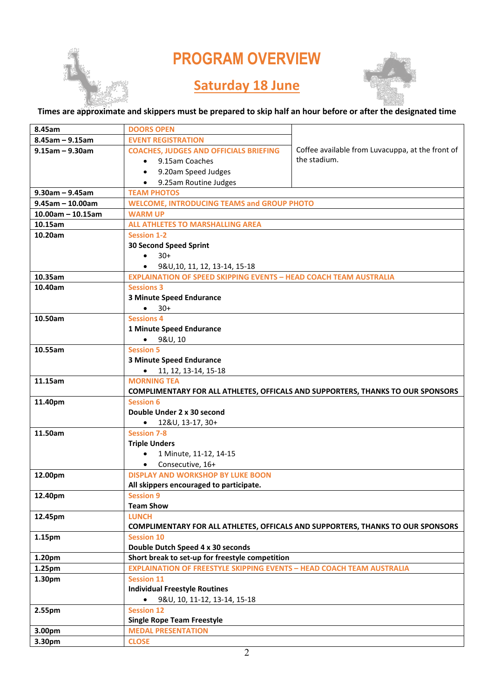## **PROGRAM OVERVIEW**

### **Saturday 18 June**



#### **Times are approximate and skippers must be prepared to skip half an hour before or after the designated time**

| 8.45am                | <b>DOORS OPEN</b>                                                                    |                                                                                        |  |
|-----------------------|--------------------------------------------------------------------------------------|----------------------------------------------------------------------------------------|--|
| $8.45$ am - $9.15$ am | <b>EVENT REGISTRATION</b>                                                            |                                                                                        |  |
| $9.15$ am - 9.30am    | <b>COACHES, JUDGES AND OFFICIALS BRIEFING</b>                                        | Coffee available from Luvacuppa, at the front of                                       |  |
|                       | • 9.15am Coaches                                                                     | the stadium.                                                                           |  |
|                       | 9.20am Speed Judges                                                                  |                                                                                        |  |
|                       | 9.25am Routine Judges                                                                |                                                                                        |  |
| $9.30$ am – $9.45$ am | <b>TEAM PHOTOS</b>                                                                   |                                                                                        |  |
| $9.45$ am - 10.00am   | <b>WELCOME, INTRODUCING TEAMS and GROUP PHOTO</b>                                    |                                                                                        |  |
| $10.00am - 10.15am$   | <b>WARM UP</b>                                                                       |                                                                                        |  |
| 10.15am               | <b>ALL ATHLETES TO MARSHALLING AREA</b>                                              |                                                                                        |  |
| 10.20am               | <b>Session 1-2</b>                                                                   |                                                                                        |  |
|                       | <b>30 Second Speed Sprint</b>                                                        |                                                                                        |  |
|                       | $30+$<br>$\bullet$                                                                   |                                                                                        |  |
|                       | $\bullet$ 9&U, 10, 11, 12, 13-14, 15-18                                              |                                                                                        |  |
| 10.35am               | <b>EXPLAINATION OF SPEED SKIPPING EVENTS - HEAD COACH TEAM AUSTRALIA</b>             |                                                                                        |  |
| 10.40am               | <b>Sessions 3</b>                                                                    |                                                                                        |  |
|                       | <b>3 Minute Speed Endurance</b>                                                      |                                                                                        |  |
|                       | $• 30+$                                                                              |                                                                                        |  |
| 10.50am               | <b>Sessions 4</b>                                                                    |                                                                                        |  |
|                       | 1 Minute Speed Endurance                                                             |                                                                                        |  |
|                       | $-98U, 10$                                                                           |                                                                                        |  |
| 10.55am               | <b>Session 5</b>                                                                     |                                                                                        |  |
|                       | <b>3 Minute Speed Endurance</b>                                                      |                                                                                        |  |
|                       | $\bullet$ 11, 12, 13-14, 15-18                                                       |                                                                                        |  |
| 11.15am               | <b>MORNING TEA</b>                                                                   |                                                                                        |  |
|                       |                                                                                      | <b>COMPLIMENTARY FOR ALL ATHLETES, OFFICALS AND SUPPORTERS, THANKS TO OUR SPONSORS</b> |  |
| 11.40pm               | <b>Session 6</b>                                                                     |                                                                                        |  |
|                       | Double Under 2 x 30 second                                                           |                                                                                        |  |
|                       | $\bullet$ 12&U, 13-17, 30+                                                           |                                                                                        |  |
| 11.50am               | <b>Session 7-8</b>                                                                   |                                                                                        |  |
|                       | <b>Triple Unders</b>                                                                 |                                                                                        |  |
|                       | 1 Minute, 11-12, 14-15<br>$\bullet$                                                  |                                                                                        |  |
|                       | Consecutive, 16+<br>$\bullet$                                                        |                                                                                        |  |
| 12.00pm               | <b>DISPLAY AND WORKSHOP BY LUKE BOON</b>                                             |                                                                                        |  |
|                       | All skippers encouraged to participate.                                              |                                                                                        |  |
| 12.40pm               | <b>Session 9</b>                                                                     |                                                                                        |  |
|                       | <b>Team Show</b>                                                                     |                                                                                        |  |
| 12.45pm               | <b>LUNCH</b>                                                                         |                                                                                        |  |
|                       | <b>Session 10</b>                                                                    | COMPLIMENTARY FOR ALL ATHLETES, OFFICALS AND SUPPORTERS, THANKS TO OUR SPONSORS        |  |
| 1.15pm                |                                                                                      |                                                                                        |  |
|                       | Double Dutch Speed 4 x 30 seconds<br>Short break to set-up for freestyle competition |                                                                                        |  |
| 1.20pm                | <b>EXPLAINATION OF FREESTYLE SKIPPING EVENTS - HEAD COACH TEAM AUSTRALIA</b>         |                                                                                        |  |
| 1.25pm                |                                                                                      |                                                                                        |  |
| 1.30pm                | <b>Session 11</b><br><b>Individual Freestyle Routines</b>                            |                                                                                        |  |
|                       | 9&U, 10, 11-12, 13-14, 15-18                                                         |                                                                                        |  |
| 2.55pm                | <b>Session 12</b>                                                                    |                                                                                        |  |
|                       | <b>Single Rope Team Freestyle</b>                                                    |                                                                                        |  |
| 3.00pm                | <b>MEDAL PRESENTATION</b>                                                            |                                                                                        |  |
| 3.30pm                | <b>CLOSE</b>                                                                         |                                                                                        |  |
|                       |                                                                                      |                                                                                        |  |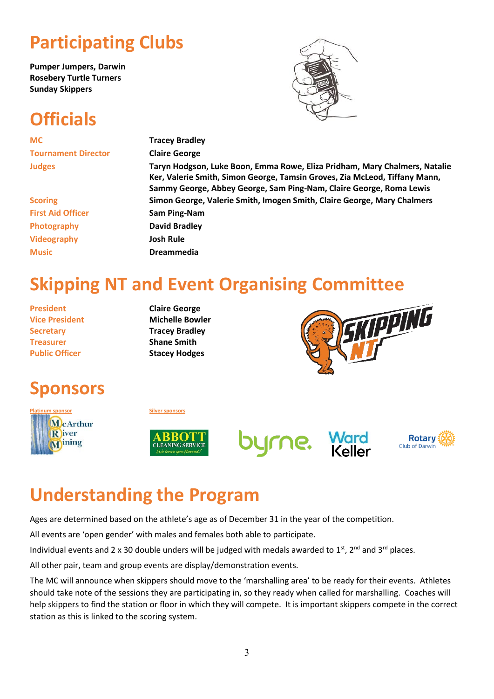## **Participating Clubs**

**Pumper Jumpers, Darwin Rosebery Turtle Turners Sunday Skippers**

## **Officials**

**MC Tracey Bradley Tournament Director Claire George**

**Judges Taryn Hodgson, Luke Boon, Emma Rowe, Eliza Pridham, Mary Chalmers, Natalie Ker, Valerie Smith, Simon George, Tamsin Groves, Zia McLeod, Tiffany Mann, Sammy George, Abbey George, Sam Ping-Nam, Claire George, Roma Lewis Scoring Simon George, Valerie Smith, Imogen Smith, Claire George, Mary Chalmers First Aid Officer Sam Ping-Nam Photography David Bradley Videography Josh Rule Music Dreammedia**

## **Skipping NT and Event Organising Committee**

**President Claire George Secretary <b>Tracey Bradley Treasurer Shane Smith Public Officer Stacey Hodges**

**Vice President Michelle Bowler** 



## **Sponsors**











## **Understanding the Program**

Ages are determined based on the athlete's age as of December 31 in the year of the competition.

All events are 'open gender' with males and females both able to participate.

Individual events and 2 x 30 double unders will be judged with medals awarded to  $1<sup>st</sup>$ ,  $2<sup>nd</sup>$  and  $3<sup>rd</sup>$  places.

All other pair, team and group events are display/demonstration events.

The MC will announce when skippers should move to the 'marshalling area' to be ready for their events. Athletes should take note of the sessions they are participating in, so they ready when called for marshalling. Coaches will help skippers to find the station or floor in which they will compete. It is important skippers compete in the correct station as this is linked to the scoring system.

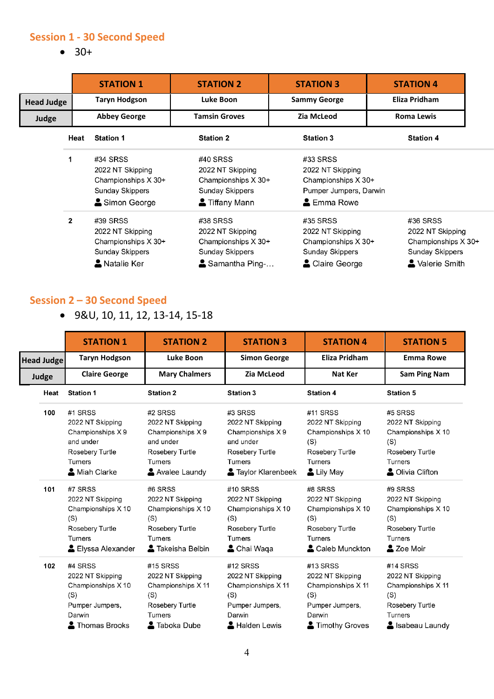#### **Session 1 - 30 Second Speed**

• 30+

|                              |      | <b>STATION 1</b>                                                                       | <b>STATION 2</b>                                                                         | <b>STATION 3</b>                                                                           | <b>STATION 4</b>                                                                        |
|------------------------------|------|----------------------------------------------------------------------------------------|------------------------------------------------------------------------------------------|--------------------------------------------------------------------------------------------|-----------------------------------------------------------------------------------------|
| <b>Head Judge</b>            |      | <b>Taryn Hodgson</b>                                                                   | Luke Boon                                                                                | <b>Sammy George</b>                                                                        | Eliza Pridham                                                                           |
| <b>Abbey George</b><br>Judge |      |                                                                                        | <b>Tamsin Groves</b>                                                                     | Zia McLeod                                                                                 | <b>Roma Lewis</b>                                                                       |
|                              | Heat | <b>Station 1</b>                                                                       | <b>Station 2</b>                                                                         | <b>Station 3</b>                                                                           | <b>Station 4</b>                                                                        |
|                              | 1    | #34 SRSS<br>2022 NT Skipping<br>Championships X 30+<br>Sunday Skippers<br>Simon George | #40 SRSS<br>2022 NT Skipping<br>Championships X 30+<br>Sunday Skippers<br>Tiffany Mann   | #33 SRSS<br>2022 NT Skipping<br>Championships X 30+<br>Pumper Jumpers, Darwin<br>Emma Rowe |                                                                                         |
|                              | 2    | #39 SRSS<br>2022 NT Skipping<br>Championships X 30+<br>Sunday Skippers<br>Natalie Ker  | #38 SRSS<br>2022 NT Skipping<br>Championships X 30+<br>Sunday Skippers<br>Samantha Ping- | #35 SRSS<br>2022 NT Skipping<br>Championships X 30+<br>Sunday Skippers<br>Claire George    | #36 SRSS<br>2022 NT Skipping<br>Championships X 30+<br>Sunday Skippers<br>Valerie Smith |

#### **Session 2 – 30 Second Speed**

• 9&U, 10, 11, 12, 13-14, 15-18

|                   | <b>STATION 1</b>                                                                                           | <b>STATION 2</b>                                                                                                   | <b>STATION 3</b>                                                                                                       | <b>STATION 4</b>                                                                                         | <b>STATION 5</b>                                                                                                   |
|-------------------|------------------------------------------------------------------------------------------------------------|--------------------------------------------------------------------------------------------------------------------|------------------------------------------------------------------------------------------------------------------------|----------------------------------------------------------------------------------------------------------|--------------------------------------------------------------------------------------------------------------------|
| <b>Head Judge</b> | <b>Taryn Hodgson</b>                                                                                       | Luke Boon                                                                                                          | <b>Simon George</b>                                                                                                    | <b>Eliza Pridham</b>                                                                                     | <b>Emma Rowe</b>                                                                                                   |
| Judge             | <b>Claire George</b>                                                                                       | <b>Mary Chalmers</b>                                                                                               | <b>Zia McLeod</b>                                                                                                      | <b>Nat Ker</b>                                                                                           | <b>Sam Ping Nam</b>                                                                                                |
| Heat              | <b>Station 1</b>                                                                                           | <b>Station 2</b>                                                                                                   | <b>Station 3</b>                                                                                                       | <b>Station 4</b>                                                                                         | <b>Station 5</b>                                                                                                   |
| 100               | #1 SRSS<br>2022 NT Skipping<br>Championships X9<br>and under<br>Rosebery Turtle<br>Turners<br>Miah Clarke  | #2 SRSS<br>2022 NT Skipping<br>Championships X9<br>and under<br>Rosebery Turtle<br><b>Turners</b><br>Avalee Laundy | #3 SRSS<br>2022 NT Skipping<br>Championships X9<br>and under<br>Rosebery Turtle<br><b>Turners</b><br>Taylor Klarenbeek | #11 SRSS<br>2022 NT Skipping<br>Championships X 10<br>(S)<br>Rosebery Turtle<br>Turners<br>Lily May      | #5 SRSS<br>2022 NT Skipping<br>Championships X 10<br>(S)<br>Rosebery Turtle<br>Turners<br>Clivia Clifton           |
| 101               | #7 SRSS<br>2022 NT Skipping<br>Championships X 10<br>(S)<br>Rosebery Turtle<br>Turners<br>Elyssa Alexander | #6 SRSS<br>2022 NT Skipping<br>Championships X 10<br>(S)<br>Rosebery Turtle<br><b>Turners</b><br>Takeisha Belbin   | #10 SRSS<br>2022 NT Skipping<br>Championships X 10<br>(S)<br>Rosebery Turtle<br>Turners<br>Chai Waqa                   | #8 SRSS<br>2022 NT Skipping<br>Championships X 10<br>(S)<br>Rosebery Turtle<br>Turners<br>Caleb Munckton | #9 SRSS<br>2022 NT Skipping<br>Championships X 10<br>(S)<br>Rosebery Turtle<br><b>Turners</b><br>2 Zoe Moir        |
| 102               | #4 SRSS<br>2022 NT Skipping<br>Championships X 10<br>(S)<br>Pumper Jumpers,<br>Darwin<br>Thomas Brooks     | #15 SRSS<br>2022 NT Skipping<br>Championships X 11<br>(S)<br>Rosebery Turtle<br>Turners<br><b>A</b> Taboka Dube    | #12 SRSS<br>2022 NT Skipping<br>Championships X 11<br>(S)<br>Pumper Jumpers,<br>Darwin<br>Halden Lewis                 | #13 SRSS<br>2022 NT Skipping<br>Championships X 11<br>(S)<br>Pumper Jumpers,<br>Darwin<br>Timothy Groves | #14 SRSS<br>2022 NT Skipping<br>Championships X 11<br>(S)<br>Rosebery Turtle<br><b>Turners</b><br>S Isabeau Laundy |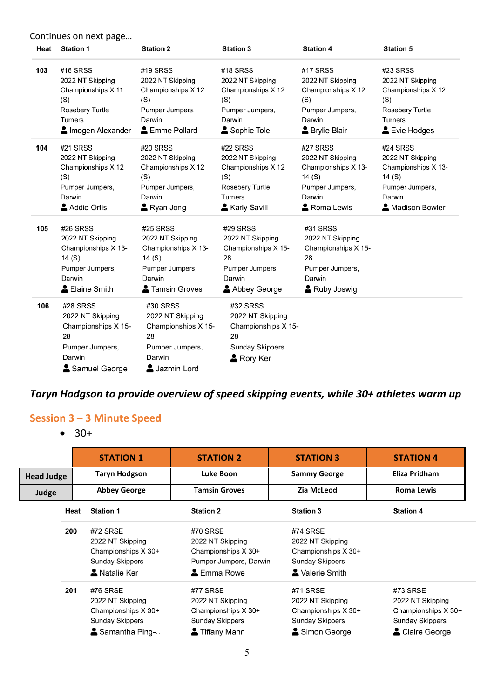Continues on next page…

| Heat | <b>Station 1</b>                                                                                            | <b>Station 2</b>                                                                                           | <b>Station 3</b>                                                                                         | <b>Station 4</b>                                                                                                    | <b>Station 5</b>                                                                                                |
|------|-------------------------------------------------------------------------------------------------------------|------------------------------------------------------------------------------------------------------------|----------------------------------------------------------------------------------------------------------|---------------------------------------------------------------------------------------------------------------------|-----------------------------------------------------------------------------------------------------------------|
| 103  | #16 SRSS<br>2022 NT Skipping<br>Championships X 11<br>(S)<br>Rosebery Turtle<br>Turners<br>Imogen Alexander | #19 SRSS<br>2022 NT Skipping<br>Championships X 12<br>(S)<br>Pumper Jumpers,<br>Darwin<br>& Emme Pollard   | #18 SRSS<br>2022 NT Skipping<br>Championships X 12<br>(S)<br>Pumper Jumpers,<br>Darwin<br>Sophie Tole    | #17 SRSS<br>2022 NT Skipping<br>Championships X 12<br>(S)<br>Pumper Jumpers,<br>Darwin<br><b>&amp; Brylie Blair</b> | #23 SRSS<br>2022 NT Skipping<br>Championships X 12<br>(S)<br>Rosebery Turtle<br><b>Turners</b><br>& Evie Hodges |
| 104  | #21 SRSS<br>2022 NT Skipping<br>Championships X 12<br>(S)<br>Pumper Jumpers,<br>Darwin<br>Addie Ortis       | #20 SRSS<br>2022 NT Skipping<br>Championships X 12<br>(S)<br>Pumper Jumpers,<br>Darwin<br>Ryan Jong        | #22 SRSS<br>2022 NT Skipping<br>Championships X 12<br>(S)<br>Rosebery Turtle<br>Turners<br>Karly Savill  | #27 SRSS<br>2022 NT Skipping<br>Championships X 13-<br>14 (S)<br>Pumper Jumpers,<br>Darwin<br>Roma Lewis            | #24 SRSS<br>2022 NT Skipping<br>Championships X 13-<br>14 (S)<br>Pumper Jumpers,<br>Darwin<br>Madison Bowler    |
| 105  | #26 SRSS<br>2022 NT Skipping<br>Championships X 13-<br>14(S)<br>Pumper Jumpers,<br>Darwin<br>Elaine Smith   | #25 SRSS<br>2022 NT Skipping<br>Championships X 13-<br>14(S)<br>Pumper Jumpers,<br>Darwin<br>Tamsin Groves | #29 SRSS<br>2022 NT Skipping<br>Championships X 15-<br>28<br>Pumper Jumpers,<br>Darwin<br>Abbey George   | #31 SRSS<br>2022 NT Skipping<br>Championships X 15-<br>28<br>Pumper Jumpers,<br>Darwin<br>Ruby Joswig               |                                                                                                                 |
| 106  | #28 SRSS<br>2022 NT Skipping<br>Championships X 15-<br>28<br>Pumper Jumpers,<br>Darwin<br>Samuel George     | #30 SRSS<br>2022 NT Skipping<br>Championships X 15-<br>28<br>Pumper Jumpers,<br>Darwin<br>Jazmin Lord      | #32 SRSS<br>2022 NT Skipping<br>Championships X 15-<br>28<br><b>Sunday Skippers</b><br><b>A</b> Rory Ker |                                                                                                                     |                                                                                                                 |

#### *Taryn Hodgson to provide overview of speed skipping events, while 30+ athletes warm up*

#### **Session 3 – 3 Minute Speed**

• 30+

|                   |      | <b>STATION 1</b>                                                                               | <b>STATION 2</b>                                                                           | <b>STATION 3</b>                                                                        | <b>STATION 4</b>                                                                               |
|-------------------|------|------------------------------------------------------------------------------------------------|--------------------------------------------------------------------------------------------|-----------------------------------------------------------------------------------------|------------------------------------------------------------------------------------------------|
| <b>Head Judge</b> |      | <b>Taryn Hodgson</b>                                                                           | Luke Boon                                                                                  | <b>Sammy George</b>                                                                     | Eliza Pridham                                                                                  |
| Judge             |      | <b>Abbey George</b>                                                                            | <b>Tamsin Groves</b>                                                                       | Zia McLeod                                                                              | Roma Lewis                                                                                     |
|                   | Heat | <b>Station 1</b>                                                                               | <b>Station 2</b>                                                                           | <b>Station 3</b>                                                                        | <b>Station 4</b>                                                                               |
|                   | 200  | #72 SRSE<br>2022 NT Skipping<br>Championships X 30+<br><b>Sunday Skippers</b><br>A Natalie Ker | #70 SRSE<br>2022 NT Skipping<br>Championships X 30+<br>Pumper Jumpers, Darwin<br>Emma Rowe | #74 SRSE<br>2022 NT Skipping<br>Championships X 30+<br>Sunday Skippers<br>Valerie Smith |                                                                                                |
|                   | 201  | #76 SRSE<br>2022 NT Skipping<br>Championships X 30+<br>Sunday Skippers<br>Samantha Ping-       | #77 SRSE<br>2022 NT Skipping<br>Championships X 30+<br>Sunday Skippers<br>Tiffany Mann     | #71 SRSE<br>2022 NT Skipping<br>Championships X 30+<br>Sunday Skippers<br>Simon George  | #73 SRSE<br>2022 NT Skipping<br>Championships X 30+<br><b>Sunday Skippers</b><br>Claire George |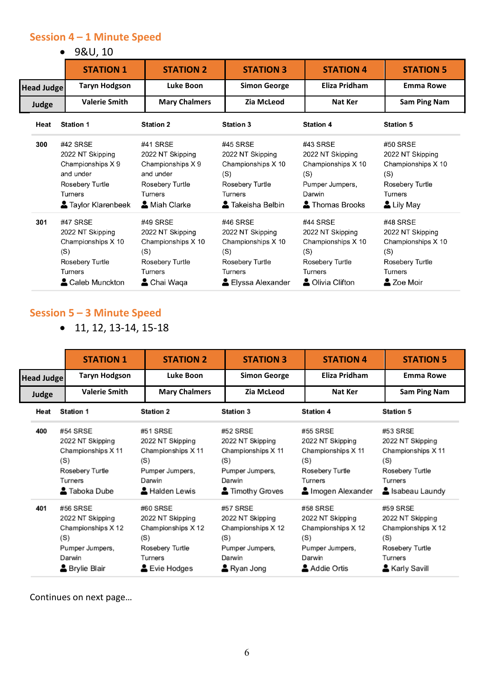#### **Session 4 – 1 Minute Speed**

• 9&U, 10

|                   | <b>STATION 1</b>                                                                                                   | <b>STATION 2</b>                                                                                            | <b>STATION 3</b>                                                                                                   | <b>STATION 4</b>                                                                                                 | <b>STATION 5</b>                                                                                             |  |
|-------------------|--------------------------------------------------------------------------------------------------------------------|-------------------------------------------------------------------------------------------------------------|--------------------------------------------------------------------------------------------------------------------|------------------------------------------------------------------------------------------------------------------|--------------------------------------------------------------------------------------------------------------|--|
| <b>Head Judge</b> | <b>Taryn Hodgson</b>                                                                                               | Luke Boon                                                                                                   | <b>Simon George</b>                                                                                                | Eliza Pridham                                                                                                    | <b>Emma Rowe</b>                                                                                             |  |
| Judge             | <b>Valerie Smith</b>                                                                                               | <b>Mary Chalmers</b>                                                                                        | Zia McLeod                                                                                                         | <b>Nat Ker</b>                                                                                                   | Sam Ping Nam                                                                                                 |  |
| Heat              | <b>Station 1</b>                                                                                                   | <b>Station 2</b>                                                                                            | <b>Station 3</b>                                                                                                   | <b>Station 4</b>                                                                                                 | <b>Station 5</b>                                                                                             |  |
| 300               | #42 SRSE<br>2022 NT Skipping<br>Championships X 9<br>and under<br>Rosebery Turtle<br>Turners<br>Staylor Klarenbeek | #41 SRSE<br>2022 NT Skipping<br>Championships X 9<br>and under<br>Rosebery Turtle<br>Turners<br>Miah Clarke | #45 SRSE<br>2022 NT Skipping<br>Championships X 10<br>(S)<br>Rosebery Turtle<br><b>Turners</b><br>Takeisha Belbin  | #43 SRSE<br>2022 NT Skipping<br>Championships X 10<br>(S)<br>Pumper Jumpers,<br>Darwin<br>Thomas Brooks          | #50 SRSE<br>2022 NT Skipping<br>Championships X 10<br>(S)<br>Rosebery Turtle<br><b>Turners</b><br>Lily May   |  |
| 301               | #47 SRSE<br>2022 NT Skipping<br>Championships X 10<br>(S)<br>Rosebery Turtle<br>Turners<br>Caleb Munckton          | #49 SRSE<br>2022 NT Skipping<br>Championships X 10<br>(S)<br>Rosebery Turtle<br>Turners<br>Chai Waqa        | #46 SRSE<br>2022 NT Skipping<br>Championships X 10<br>(S)<br>Rosebery Turtle<br><b>Turners</b><br>Elyssa Alexander | #44 SRSE<br>2022 NT Skipping<br>Championships X 10<br>(S)<br>Rosebery Turtle<br><b>Turners</b><br>Olivia Clifton | #48 SRSE<br>2022 NT Skipping<br>Championships X 10<br>(S)<br>Rosebery Turtle<br><b>Turners</b><br>2 Zoe Moir |  |

#### **Session 5 – 3 Minute Speed**

• 11, 12, 13-14, 15-18

|            | <b>STATION 1</b>                                                                                       | <b>STATION 2</b>                                                                                       | <b>STATION 3</b>                                                                                                                                                                                                        | <b>STATION 4</b>                                                                                      | <b>STATION 5</b>                                                                                            |  |
|------------|--------------------------------------------------------------------------------------------------------|--------------------------------------------------------------------------------------------------------|-------------------------------------------------------------------------------------------------------------------------------------------------------------------------------------------------------------------------|-------------------------------------------------------------------------------------------------------|-------------------------------------------------------------------------------------------------------------|--|
| Head Judge | <b>Taryn Hodgson</b>                                                                                   | Luke Boon                                                                                              | <b>Simon George</b>                                                                                                                                                                                                     | Eliza Pridham                                                                                         | <b>Emma Rowe</b>                                                                                            |  |
| Judge      | <b>Valerie Smith</b>                                                                                   | <b>Mary Chalmers</b>                                                                                   | <b>Zia McLeod</b>                                                                                                                                                                                                       | Nat Ker                                                                                               | Sam Ping Nam                                                                                                |  |
| Heat       | Station 1                                                                                              | <b>Station 2</b>                                                                                       | <b>Station 3</b>                                                                                                                                                                                                        | <b>Station 4</b>                                                                                      | <b>Station 5</b>                                                                                            |  |
| 400        | #54 SRSE<br>2022 NT Skipping<br>Championships X 11<br>(S)<br>Rosebery Turtle<br>Turners<br>Taboka Dube | #51 SRSE<br>2022 NT Skipping<br>Championships X 11<br>(S)<br>Pumper Jumpers,<br>Darwin<br>Halden Lewis | #52 SRSE<br>#55 SRSE<br>2022 NT Skipping<br>2022 NT Skipping<br>Championships X 11<br>Championships X 11<br>(S)<br>(S)<br>Rosebery Turtle<br>Pumper Jumpers,<br>Turners<br>Darwin<br>Timothy Groves<br>Imogen Alexander |                                                                                                       | #53 SRSE<br>2022 NT Skipping<br>Championships X 11<br>(S)<br>Rosebery Turtle<br>Turners<br>S Isabeau Laundy |  |
| 401        | #56 SRSE<br>2022 NT Skipping<br>Championships X 12<br>(S)<br>Pumper Jumpers,<br>Darwin<br>Brylie Blair | #60 SRSE<br>2022 NT Skipping<br>Championships X 12<br>(S)<br>Rosebery Turtle<br>Turners<br>Evie Hodges | #57 SRSE<br>2022 NT Skipping<br>Championships X 12<br>(S)<br>Pumper Jumpers,<br>Darwin<br>Ryan Jong                                                                                                                     | #58 SRSE<br>2022 NT Skipping<br>Championships X 12<br>(S)<br>Pumper Jumpers,<br>Darwin<br>Addie Ortis | #59 SRSE<br>2022 NT Skipping<br>Championships X 12<br>(S)<br>Rosebery Turtle<br>Turners<br>Karly Savill     |  |

Continues on next page…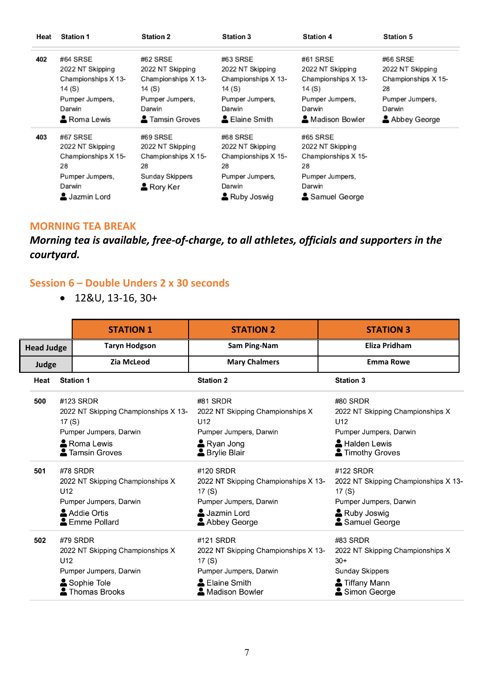| Heat | <b>Station 1</b>    | <b>Station 2</b>       | <b>Station 3</b>    | <b>Station 4</b>    | <b>Station 5</b>    |
|------|---------------------|------------------------|---------------------|---------------------|---------------------|
| 402  | #64 SRSE            | #62 SRSE               | #63 SRSE            | #61 SRSE            | #66 SRSE            |
|      | 2022 NT Skipping    | 2022 NT Skipping       | 2022 NT Skipping    | 2022 NT Skipping    | 2022 NT Skipping    |
|      | Championships X 13- | Championships X 13-    | Championships X 13- | Championships X 13- | Championships X 15- |
|      | 14 (S)              | 14 (S)                 | 14 (S)              | 14 (S)              | 28                  |
|      | Pumper Jumpers,     | Pumper Jumpers,        | Pumper Jumpers,     | Pumper Jumpers,     | Pumper Jumpers,     |
|      | Darwin              | Darwin                 | Darwin              | Darwin              | Darwin              |
|      | & Roma Lewis        | <b>2</b> Tamsin Groves | Laine Smith         | ▲ Madison Bowler    | Abbey George        |
| 403  | #67 SRSE            | #69 SRSE               | #68 SRSE            | #65 SRSE            |                     |
|      | 2022 NT Skipping    | 2022 NT Skipping       | 2022 NT Skipping    | 2022 NT Skipping    |                     |
|      | Championships X 15- | Championships X 15-    | Championships X 15- | Championships X 15- |                     |
|      | 28                  | 28                     | 28                  | 28                  |                     |
|      | Pumper Jumpers,     | Sunday Skippers        | Pumper Jumpers,     | Pumper Jumpers,     |                     |
|      | Darwin              | & Rory Ker             | Darwin              | Darwin              |                     |
|      | Jazmin Lord         |                        | Ruby Joswig         | Samuel George       |                     |

#### **MORNING TEA BREAK**

#### *Morning tea is available, free-of-charge, to all athletes, officials and supporters in the courtyard.*

#### **Session 6 – Double Unders 2 x 30 seconds**

• 12&U, 13-16, 30+

|                   |                                                                                                                               |                  | <b>STATION 1</b>                                                                           | <b>STATION 2</b>                                                                                                         | <b>STATION 3</b>                                                                                                      |
|-------------------|-------------------------------------------------------------------------------------------------------------------------------|------------------|--------------------------------------------------------------------------------------------|--------------------------------------------------------------------------------------------------------------------------|-----------------------------------------------------------------------------------------------------------------------|
| <b>Head Judge</b> |                                                                                                                               |                  | <b>Taryn Hodgson</b>                                                                       | Sam Ping-Nam                                                                                                             | Eliza Pridham                                                                                                         |
| Judge             |                                                                                                                               |                  | <b>Zia McLeod</b>                                                                          | <b>Mary Chalmers</b>                                                                                                     | <b>Emma Rowe</b>                                                                                                      |
|                   | Heat                                                                                                                          | <b>Station 1</b> |                                                                                            | <b>Station 2</b>                                                                                                         | <b>Station 3</b>                                                                                                      |
|                   | 500<br>#123 SRDR<br>2022 NT Skipping Championships X 13-<br>17 $(S)$<br>Pumper Jumpers, Darwin<br>Roma Lewis<br>Tamsin Groves |                  |                                                                                            | #81 SRDR<br>2022 NT Skipping Championships X<br>U12<br>Pumper Jumpers, Darwin<br>Ryan Jong<br><b>&amp; Brylie Blair</b>  | #80 SRDR<br>2022 NT Skipping Championships X<br>U12<br>Pumper Jumpers, Darwin<br>Halden Lewis<br>Timothy Groves       |
|                   | 501                                                                                                                           | #78 SRDR<br>U12  | 2022 NT Skipping Championships X<br>Pumper Jumpers, Darwin<br>Addie Ortis<br>Emme Pollard  | #120 SRDR<br>2022 NT Skipping Championships X 13-<br>17 (S)<br>Pumper Jumpers, Darwin<br>Jazmin Lord<br>Abbey George     | #122 SRDR<br>2022 NT Skipping Championships X 13-<br>17 (S)<br>Pumper Jumpers, Darwin<br>Ruby Joswig<br>Samuel George |
|                   | 502                                                                                                                           | #79 SRDR<br>U12  | 2022 NT Skipping Championships X<br>Pumper Jumpers, Darwin<br>Sophie Tole<br>Thomas Brooks | #121 SRDR<br>2022 NT Skipping Championships X 13-<br>17(S)<br>Pumper Jumpers, Darwin<br>& Elaine Smith<br>Madison Bowler | #83 SRDR<br>2022 NT Skipping Championships X<br>$30+$<br><b>Sunday Skippers</b><br>Tiffany Mann<br>Simon George       |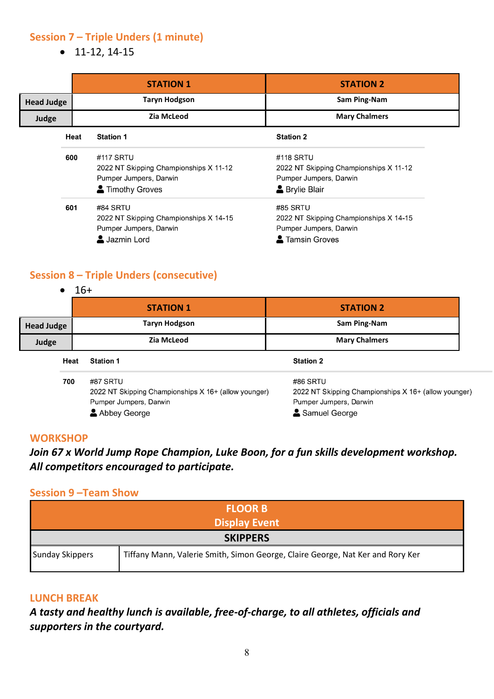#### **Session 7 – Triple Unders (1 minute)**

• 11-12, 14-15

|                   |                   | <b>STATION 1</b>                                                                                | <b>STATION 2</b>                                                                                           |
|-------------------|-------------------|-------------------------------------------------------------------------------------------------|------------------------------------------------------------------------------------------------------------|
| <b>Head Judge</b> |                   | <b>Taryn Hodgson</b>                                                                            | Sam Ping-Nam                                                                                               |
| Judge             | <b>Zia McLeod</b> |                                                                                                 | <b>Mary Chalmers</b>                                                                                       |
|                   | Heat              | <b>Station 1</b>                                                                                | <b>Station 2</b>                                                                                           |
|                   | 600               | #117 SRTU<br>2022 NT Skipping Championships X 11-12<br>Pumper Jumpers, Darwin<br>Timothy Groves | #118 SRTU<br>2022 NT Skipping Championships X 11-12<br>Pumper Jumpers, Darwin<br><b>&amp; Brylie Blair</b> |
|                   | 601               | #84 SRTU<br>2022 NT Skipping Championships X 14-15<br>Pumper Jumpers, Darwin<br>Jazmin Lord     | #85 SRTU<br>2022 NT Skipping Championships X 14-15<br>Pumper Jumpers, Darwin<br>Tamsin Groves              |

#### **Session 8 – Triple Unders (consecutive)**

|                   | $16+$ |                                                                                                            |                                                                                                             |  |
|-------------------|-------|------------------------------------------------------------------------------------------------------------|-------------------------------------------------------------------------------------------------------------|--|
|                   |       | <b>STATION 1</b>                                                                                           | <b>STATION 2</b>                                                                                            |  |
| <b>Head Judge</b> |       | <b>Taryn Hodgson</b>                                                                                       | Sam Ping-Nam                                                                                                |  |
| Judge             |       | Zia McLeod                                                                                                 | <b>Mary Chalmers</b>                                                                                        |  |
|                   | Heat  | <b>Station 1</b>                                                                                           | <b>Station 2</b>                                                                                            |  |
|                   | 700   | #87 SRTU<br>2022 NT Skipping Championships X 16+ (allow younger)<br>Pumper Jumpers, Darwin<br>Abbey George | #86 SRTU<br>2022 NT Skipping Championships X 16+ (allow younger)<br>Pumper Jumpers, Darwin<br>Samuel George |  |

#### **WORKSHOP**

#### *Join 67 x World Jump Rope Champion, Luke Boon, for a fun skills development workshop. All competitors encouraged to participate.*

#### **Session 9 –Team Show**

| <b>FLOOR B</b>         |                                                                                |  |
|------------------------|--------------------------------------------------------------------------------|--|
| <b>Display Event</b>   |                                                                                |  |
| <b>SKIPPERS</b>        |                                                                                |  |
| <b>Sunday Skippers</b> | Tiffany Mann, Valerie Smith, Simon George, Claire George, Nat Ker and Rory Ker |  |

#### **LUNCH BREAK**

*A tasty and healthy lunch is available, free-of-charge, to all athletes, officials and supporters in the courtyard.*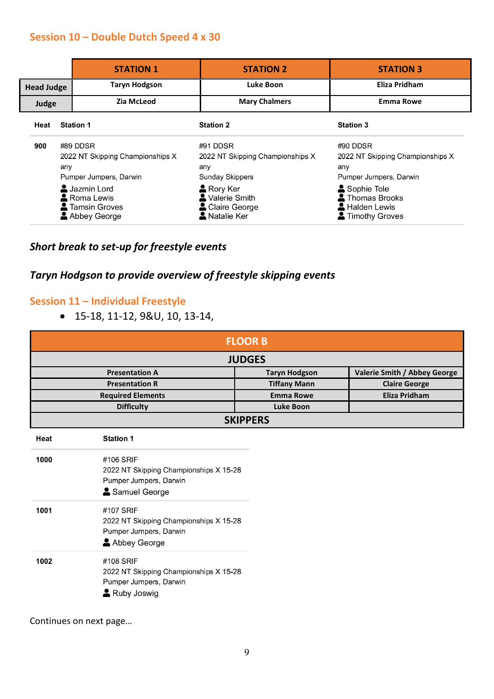#### **Session 10 – Double Dutch Speed 4 x 30**

|                   |     | <b>STATION 1</b>                                                                                                                                       | <b>STATION 2</b>                                                                                                                      | <b>STATION 3</b>                                                                                                                                |
|-------------------|-----|--------------------------------------------------------------------------------------------------------------------------------------------------------|---------------------------------------------------------------------------------------------------------------------------------------|-------------------------------------------------------------------------------------------------------------------------------------------------|
| <b>Head Judge</b> |     | <b>Taryn Hodgson</b>                                                                                                                                   | Luke Boon                                                                                                                             | <b>Eliza Pridham</b>                                                                                                                            |
| Judge             |     | Zia McLeod                                                                                                                                             | <b>Mary Chalmers</b>                                                                                                                  | <b>Emma Rowe</b>                                                                                                                                |
| Heat              |     | <b>Station 1</b>                                                                                                                                       | <b>Station 2</b>                                                                                                                      | <b>Station 3</b>                                                                                                                                |
| 900               | any | #89 DDSR<br>2022 NT Skipping Championships X<br>Pumper Jumpers, Darwin<br>Jazmin Lord<br><b>A</b> Roma Lewis<br><b>A</b> Tamsin Groves<br>Abbey George | #91 DDSR<br>2022 NT Skipping Championships X<br>any<br>Sunday Skippers<br>Rory Ker<br>Valerie Smith<br>Claire George<br>A Natalie Ker | #90 DDSR<br>2022 NT Skipping Championships X<br>any<br>Pumper Jumpers, Darwin<br>Sophie Tole<br>Thomas Brooks<br>Halden Lewis<br>Timothy Groves |

#### *Short break to set-up for freestyle events*

#### *Taryn Hodgson to provide overview of freestyle skipping events*

#### **Session 11 – Individual Freestyle**

• 15-18, 11-12, 9&U, 10, 13-14,

| <b>FLOOR B</b><br><b>JUDGES</b> |                     |                      |  |  |
|---------------------------------|---------------------|----------------------|--|--|
|                                 |                     |                      |  |  |
| <b>Presentation R</b>           | <b>Tiffany Mann</b> | <b>Claire George</b> |  |  |
| <b>Required Elements</b>        | <b>Emma Rowe</b>    | Eliza Pridham        |  |  |
| <b>Difficulty</b>               | Luke Boon           |                      |  |  |
| <b>SKIPPERS</b>                 |                     |                      |  |  |

| Heat | <b>Station 1</b>                                                                              |
|------|-----------------------------------------------------------------------------------------------|
| 1000 | #106 SRIF<br>2022 NT Skipping Championships X 15-28<br>Pumper Jumpers, Darwin                 |
|      | Samuel George                                                                                 |
| 1001 | #107 SRIF<br>2022 NT Skipping Championships X 15-28<br>Pumper Jumpers, Darwin<br>Abbey George |
| 1002 | #108 SRIF<br>2022 NT Skipping Championships X 15-28<br>Pumper Jumpers, Darwin<br>Ruby Joswig  |

Continues on next page…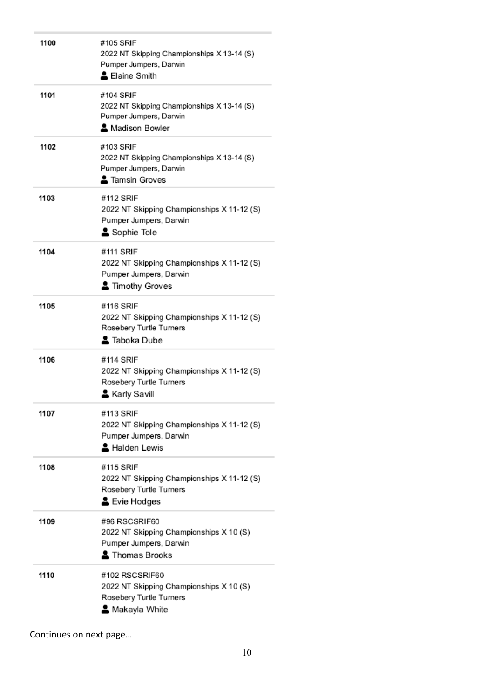| 1100 | #105 SRIF<br>2022 NT Skipping Championships X 13-14 (S)<br>Pumper Jumpers, Darwin<br>Laine Smith               |
|------|----------------------------------------------------------------------------------------------------------------|
| 1101 | #104 SRIF<br>2022 NT Skipping Championships X 13-14 (S)<br>Pumper Jumpers, Darwin<br>Madison Bowler            |
| 1102 | #103 SRIF<br>2022 NT Skipping Championships X 13-14 (S)<br>Pumper Jumpers, Darwin<br>2 Tamsin Groves           |
| 1103 | #112 SRIF<br>2022 NT Skipping Championships X 11-12 (S)<br>Pumper Jumpers, Darwin<br>Sophie Tole               |
| 1104 | #111 SRIF<br>2022 NT Skipping Championships X 11-12 (S)<br>Pumper Jumpers, Darwin<br>Timothy Groves            |
| 1105 | #116 SRIF<br>2022 NT Skipping Championships X 11-12 (S)<br>Rosebery Turtle Turners<br>르 Taboka Dube            |
| 1106 | #114 SRIF<br>2022 NT Skipping Championships X 11-12 (S)<br>Rosebery Turtle Turners<br>& Karly Savill           |
| 1107 | #113 SRIF<br>2022 NT Skipping Championships X 11-12 (S)<br>Pumper Jumpers, Darwin<br>Halden Lewis              |
| 1108 | #115 SRIF<br>2022 NT Skipping Championships X 11-12 (S)<br>Rosebery Turtle Turners<br>Evie Hodges              |
| 1109 | #96 RSCSRIF60<br>2022 NT Skipping Championships X 10 (S)<br>Pumper Jumpers, Darwin<br>Thomas Brooks            |
| 1110 | #102 RSCSRIF60<br>2022 NT Skipping Championships X 10 (S)<br>Rosebery Turtle Turners<br><b>≗</b> Makayla White |

Continues on next page…